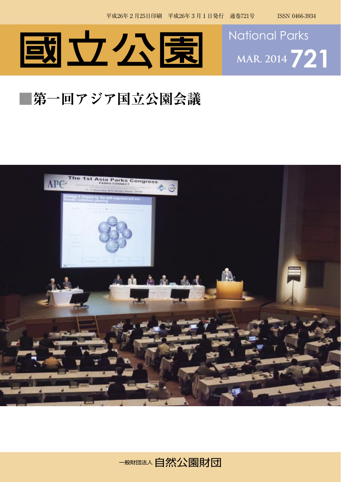



## **■第一回アジア国立公園会議**



一般財団大会の自然公園財団